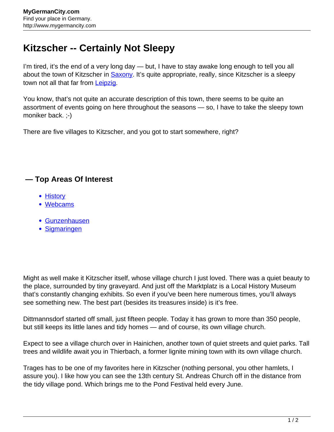## **Kitzscher -- Certainly Not Sleepy**

I'm tired, it's the end of a very long day — but, I have to stay awake long enough to tell you all about the town of Kitzscher in **Saxony**. It's quite appropriate, really, since Kitzscher is a sleepy town not all that far from [Leipzig.](http://www.mygermancity.com/leipzig)

You know, that's not quite an accurate description of this town, there seems to be quite an assortment of events going on here throughout the seasons — so, I have to take the sleepy town moniker back. ;-)

There are five villages to Kitzscher, and you got to start somewhere, right?

## **— Top Areas Of Interest**

- [History](http://www.mygermancity.com/leipzig-history)
- [Webcams](http://www.mygermancity.com/neustadt-holstein-webcams)
- [Gunzenhausen](http://www.mygermancity.com/gunzenhausen)
- [Sigmaringen](http://www.mygermancity.com/sigmaringen)

Might as well make it Kitzscher itself, whose village church I just loved. There was a quiet beauty to the place, surrounded by tiny graveyard. And just off the Marktplatz is a Local History Museum that's constantly changing exhibits. So even if you've been here numerous times, you'll always see something new. The best part (besides its treasures inside) is it's free.

Dittmannsdorf started off small, just fifteen people. Today it has grown to more than 350 people, but still keeps its little lanes and tidy homes — and of course, its own village church.

Expect to see a village church over in Hainichen, another town of quiet streets and quiet parks. Tall trees and wildlife await you in Thierbach, a former lignite mining town with its own village church.

Trages has to be one of my favorites here in Kitzscher (nothing personal, you other hamlets, I assure you). I like how you can see the 13th century St. Andreas Church off in the distance from the tidy village pond. Which brings me to the Pond Festival held every June.